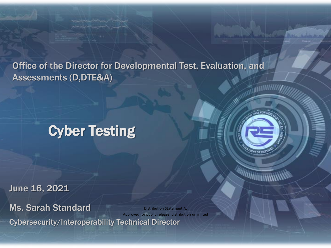Office of the Director for Developmental Test, Evaluation, and Assessments (D,DTE&A)

# Cyber Testing

June 16, 2021

Cybersecurity/Interoperability Technical Director Ms. Sarah Standard Distribution Statement A: Approved for public release, distribution unlimited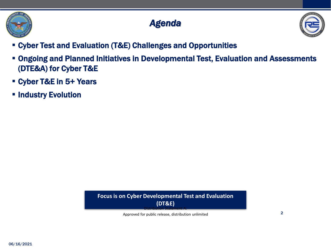

## *Agenda*



- Cyber Test and Evaluation (T&E) Challenges and Opportunities
- Ongoing and Planned Initiatives in Developmental Test, Evaluation and Assessments (DTE&A) for Cyber T&E
- Cyber T&E in 5+ Years
- **.** Industry Evolution



Approved for public release, distribution unlimited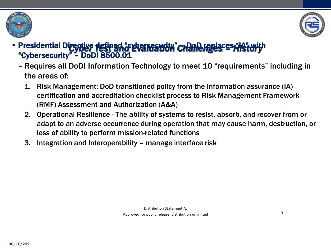



### **Expresidential Directive defined "cyber restaurity" Challenges = History** "Cybersecurity" – DoDI 8500.01

- Requires all DoDI Information Technology to meet 10 "requirements" including in the areas of:
	- 1. Risk Management: DoD transitioned policy from the information assurance (IA) certification and accreditation checklist process to Risk Management Framework (RMF) Assessment and Authorization (A&A)
	- 2. Operational Resilience The ability of systems to resist, absorb, and recover from or adapt to an adverse occurrence during operation that may cause harm, destruction, or loss of ability to perform mission-related functions
	- 3. Integration and Interoperability manage interface risk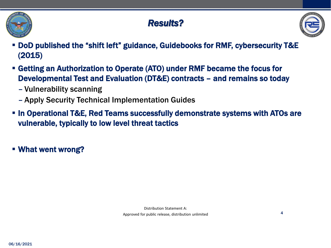

## *Results?*



- DoD published the "shift left" guidance, Guidebooks for RMF, cybersecurity T&E (2015)
- Getting an Authorization to Operate (ATO) under RMF became the focus for Developmental Test and Evaluation (DT&E) contracts – and remains so today
	- Vulnerability scanning
	- Apply Security Technical Implementation Guides
- In Operational T&E, Red Teams successfully demonstrate systems with ATOs are vulnerable, typically to low level threat tactics
- What went wrong?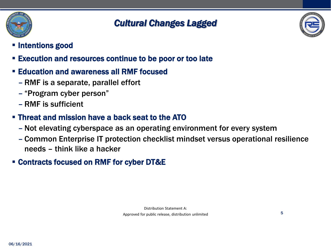

### *Cultural Changes Lagged*



5

- **E** Intentions good
- Execution and resources continue to be poor or too late
- **Education and awareness all RMF focused** 
	- RMF is a separate, parallel effort
	- "Program cyber person"
	- RMF is sufficient

### **.** Threat and mission have a back seat to the ATO

- Not elevating cyberspace as an operating environment for every system
- Common Enterprise IT protection checklist mindset versus operational resilience needs – think like a hacker

### ▪ Contracts focused on RMF for cyber DT&E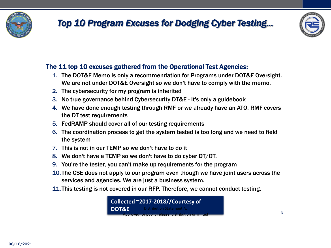

## *Top 10 Program Excuses for Dodging Cyber Testing…*



6

#### The 11 top 10 excuses gathered from the Operational Test Agencies:

- 1. The DOT&E Memo is only a recommendation for Programs under DOT&E Oversight. We are not under DOT&E Oversight so we don't have to comply with the memo.
- 2. The cybersecurity for my program is inherited
- 3. No true governance behind Cybersecurity DT&E It's only a guidebook
- 4. We have done enough testing through RMF or we already have an ATO. RMF covers the DT test requirements
- 5. FedRAMP should cover all of our testing requirements
- 6. The coordination process to get the system tested is too long and we need to field the system
- 7. This is not in our TEMP so we don't have to do it
- 8. We don't have a TEMP so we don't have to do cyber DT/OT.
- 9. You're the tester, you can't make up requirements for the program
- 10.The CSE does not apply to our program even though we have joint users across the services and agencies. We are just a business system.
- 11.This testing is not covered in our RFP. Therefore, we cannot conduct testing.

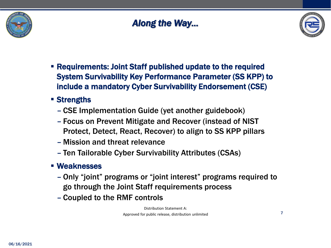

## *Along the Way…*



- Requirements: Joint Staff published update to the required System Survivability Key Performance Parameter (SS KPP) to include a mandatory Cyber Survivability Endorsement (CSE)
- Strengths
	- CSE Implementation Guide (yet another guidebook)
	- Focus on Prevent Mitigate and Recover (instead of NIST Protect, Detect, React, Recover) to align to SS KPP pillars
	- Mission and threat relevance
	- Ten Tailorable Cyber Survivability Attributes (CSAs)
- Weaknesses
	- Only "joint" programs or "joint interest" programs required to go through the Joint Staff requirements process
	- Coupled to the RMF controls

Distribution Statement A: Approved for public release, distribution unlimited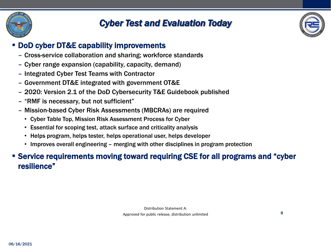

## *Cyber Test and Evaluation Today*



#### ▪ DoD cyber DT&E capability improvements

- Cross-service collaboration and sharing; workforce standards
- Cyber range expansion (capability, capacity, demand)
- Integrated Cyber Test Teams with Contractor
- Government DT&E integrated with government OT&E
- 2020: Version 2.1 of the DoD Cybersecurity T&E Guidebook published
- "RMF is necessary, but not sufficient"
- Mission-based Cyber Risk Assessments (MBCRAs) are required
	- Cyber Table Top, Mission Risk Assessment Process for Cyber
	- Essential for scoping test, attack surface and criticality analysis
	- Helps program, helps tester, helps operational user, helps developer
	- Improves overall engineering merging with other disciplines in program protection

#### ▪ Service requirements moving toward requiring CSE for all programs and "cyber resilience"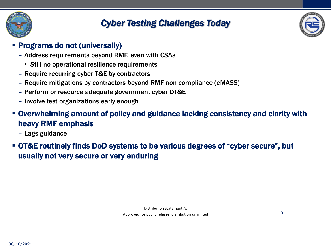

## *Cyber Testing Challenges Today*



#### ▪ Programs do not (universally)

- Address requirements beyond RMF, even with CSAs
	- Still no operational resilience requirements
- Require recurring cyber T&E by contractors
- Require mitigations by contractors beyond RMF non compliance (eMASS)
- Perform or resource adequate government cyber DT&E
- Involve test organizations early enough
- Overwhelming amount of policy and guidance lacking consistency and clarity with heavy RMF emphasis
	- Lags guidance
- OT&E routinely finds DoD systems to be various degrees of "cyber secure", but usually not very secure or very enduring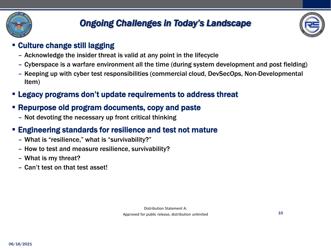

## *Ongoing Challenges in Today's Landscape*



10

#### **Culture change still lagging**

- Acknowledge the insider threat is valid at any point in the lifecycle
- Cyberspace is a warfare environment all the time (during system development and post fielding)
- Keeping up with cyber test responsibilities (commercial cloud, DevSecOps, Non-Developmental Item)
- Legacy programs don't update requirements to address threat

### ▪ Repurpose old program documents, copy and paste

– Not devoting the necessary up front critical thinking

#### ▪ Engineering standards for resilience and test not mature

- What is "resilience," what is "survivability?"
- How to test and measure resilience, survivability?
- What is my threat?
- Can't test on that test asset!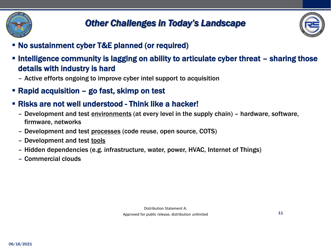



- No sustainment cyber T&E planned (or required)
- **.** Intelligence community is lagging on ability to articulate cyber threat sharing those details with industry is hard
	- Active efforts ongoing to improve cyber intel support to acquisition
- Rapid acquisition go fast, skimp on test
- Risks are not well understood Think like a hacker!
	- Development and test environments (at every level in the supply chain) hardware, software, firmware, networks
	- Development and test processes (code reuse, open source, COTS)
	- Development and test tools
	- Hidden dependencies (e.g. infrastructure, water, power, HVAC, Internet of Things)
	- Commercial clouds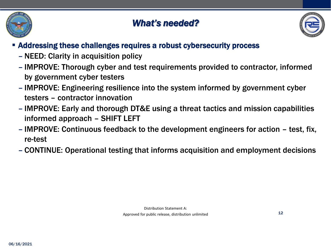

## *What's needed?*



#### ▪ Addressing these challenges requires a robust cybersecurity process

- NEED: Clarity in acquisition policy
- IMPROVE: Thorough cyber and test requirements provided to contractor, informed by government cyber testers
- IMPROVE: Engineering resilience into the system informed by government cyber testers – contractor innovation
- IMPROVE: Early and thorough DT&E using a threat tactics and mission capabilities informed approach – SHIFT LEFT
- IMPROVE: Continuous feedback to the development engineers for action test, fix, re-test
- CONTINUE: Operational testing that informs acquisition and employment decisions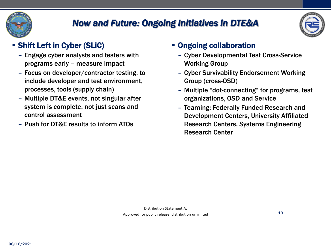

## *Now and Future: Ongoing Initiatives in DTE&A*



### ▪ Shift Left in Cyber (SLiC)

- Engage cyber analysts and testers with programs early – measure impact
- Focus on developer/contractor testing, to include developer and test environment, processes, tools (supply chain)
- Multiple DT&E events, not singular after system is complete, not just scans and control assessment
- Push for DT&E results to inform ATOs

#### ▪ Ongoing collaboration

- Cyber Developmental Test Cross-Service Working Group
- Cyber Survivability Endorsement Working Group (cross-OSD)
- Multiple "dot-connecting" for programs, test organizations, OSD and Service
- Teaming: Federally Funded Research and Development Centers, University Affiliated Research Centers, Systems Engineering Research Center

13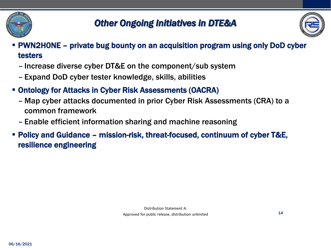



14

- PWN2H0NE private bug bounty on an acquisition program using only DoD cyber testers
	- Increase diverse cyber DT&E on the component/sub system
	- Expand DoD cyber tester knowledge, skills, abilities
- Ontology for Attacks in Cyber Risk Assessments (OACRA)
	- Map cyber attacks documented in prior Cyber Risk Assessments (CRA) to a common framework
	- Enable efficient information sharing and machine reasoning
- Policy and Guidance mission-risk, threat-focused, continuum of cyber T&E, resilience engineering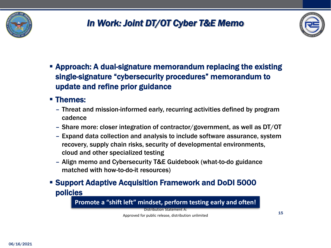

## *In Work: Joint DT/OT Cyber T&E Memo*



15

**E** Approach: A dual-signature memorandum replacing the existing single-signature "cybersecurity procedures" memorandum to update and refine prior guidance

#### ■ Themes:

- Threat and mission-informed early, recurring activities defined by program cadence
- Share more: closer integration of contractor/government, as well as DT/OT
- Expand data collection and analysis to include software assurance, system recovery, supply chain risks, security of developmental environments, cloud and other specialized testing
- Align memo and Cybersecurity T&E Guidebook (what-to-do guidance matched with how-to-do-it resources)
- Support Adaptive Acquisition Framework and DoDI 5000 policies

**Promote a "shift left" mindset, perform testing early and often!**

Distribution Statement A:

Approved for public release, distribution unlimited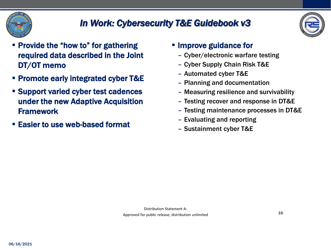

## *In Work: Cybersecurity T&E Guidebook v3*



- Provide the "how to" for gathering required data described in the Joint DT/OT memo
- Promote early integrated cyber T&E
- Support varied cyber test cadences under the new Adaptive Acquisition **Framework**
- Easier to use web-based format
- Improve guidance for
	- Cyber/electronic warfare testing
	- Cyber Supply Chain Risk T&E
	- Automated cyber T&E
	- Planning and documentation
	- Measuring resilience and survivability
	- Testing recover and response in DT&E
	- Testing maintenance processes in DT&E

16

- Evaluating and reporting
- Sustainment cyber T&E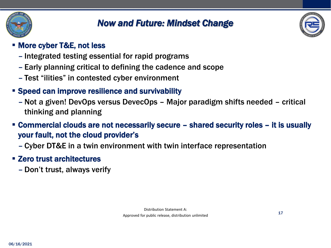

## *Now and Future: Mindset Change*



17

#### ▪ More cyber T&E, not less

- Integrated testing essential for rapid programs
- Early planning critical to defining the cadence and scope
- Test "ilities" in contested cyber environment
- Speed can improve resilience and survivability
	- Not a given! DevOps versus DevecOps Major paradigm shifts needed critical thinking and planning
- Commercial clouds are not necessarily secure shared security roles it is usually your fault, not the cloud provider's
	- Cyber DT&E in a twin environment with twin interface representation
- Zero trust architectures
	- Don't trust, always verify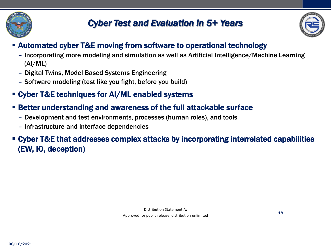

## *Cyber Test and Evaluation in 5+ Years*



18

### ▪ Automated cyber T&E moving from software to operational technology

- Incorporating more modeling and simulation as well as Artificial Intelligence/Machine Learning (AI/ML)
- Digital Twins, Model Based Systems Engineering
- Software modeling (test like you fight, before you build)

### ▪ Cyber T&E techniques for AI/ML enabled systems

- Better understanding and awareness of the full attackable surface
	- Development and test environments, processes (human roles), and tools
	- Infrastructure and interface dependencies

▪ Cyber T&E that addresses complex attacks by incorporating interrelated capabilities (EW, IO, deception)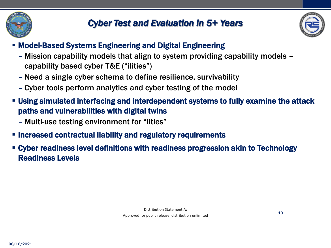



- Model-Based Systems Engineering and Digital Engineering
	- Mission capability models that align to system providing capability models capability based cyber T&E ("ilities")
	- Need a single cyber schema to define resilience, survivability
	- Cyber tools perform analytics and cyber testing of the model
- Using simulated interfacing and interdependent systems to fully examine the attack paths and vulnerabilities with digital twins
	- Multi-use testing environment for "ilties"
- Increased contractual liability and regulatory requirements
- Cyber readiness level definitions with readiness progression akin to Technology Readiness Levels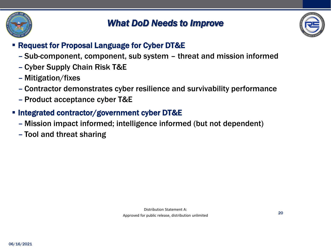

## *What DoD Needs to Improve*



### **Example 1 Request for Proposal Language for Cyber DT&E**

- Sub-component, component, sub system threat and mission informed
- Cyber Supply Chain Risk T&E
- Mitigation/fixes
- Contractor demonstrates cyber resilience and survivability performance
- Product acceptance cyber T&E
- Integrated contractor/government cyber DT&E
	- Mission impact informed; intelligence informed (but not dependent)
	- Tool and threat sharing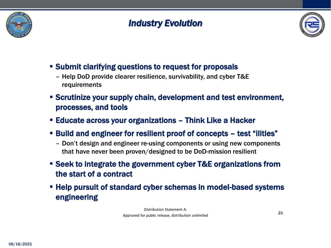

## *Industry Evolution*



- Submit clarifying questions to request for proposals
	- Help DoD provide clearer resilience, survivability, and cyber T&E requirements
- Scrutinize your supply chain, development and test environment, processes, and tools
- Educate across your organizations Think Like a Hacker
- Build and engineer for resilient proof of concepts test "ilities"
	- Don't design and engineer re-using components or using new components that have never been proven/designed to be DoD-mission resilient
- Seek to integrate the government cyber T&E organizations from the start of a contract
- **EXA) EXA) EXA) EXA) EXA) EXA) EXASPED IS EXAMPLE FOR FIGURE FIGURER** FIGURER **FIGURER** FIGURER SYSTEMS engineering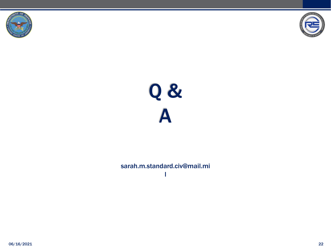





#### sarah.m.standard.civ@mail.mi l

06/16/2021 22